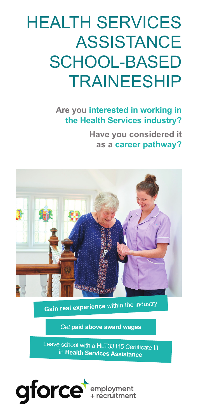# HEALTH SERVICES ASSISTANCE SCHOOL-BASED TRAINEESHIP

# **Are you interested in working in the Health Services industry?**

**Have you considered it as a career pathway?**



**Gain real experience** within the industry

*Get* **paid above award wages**

Leave school with a HLT33115 Certificate III in **Health Services Assistance**